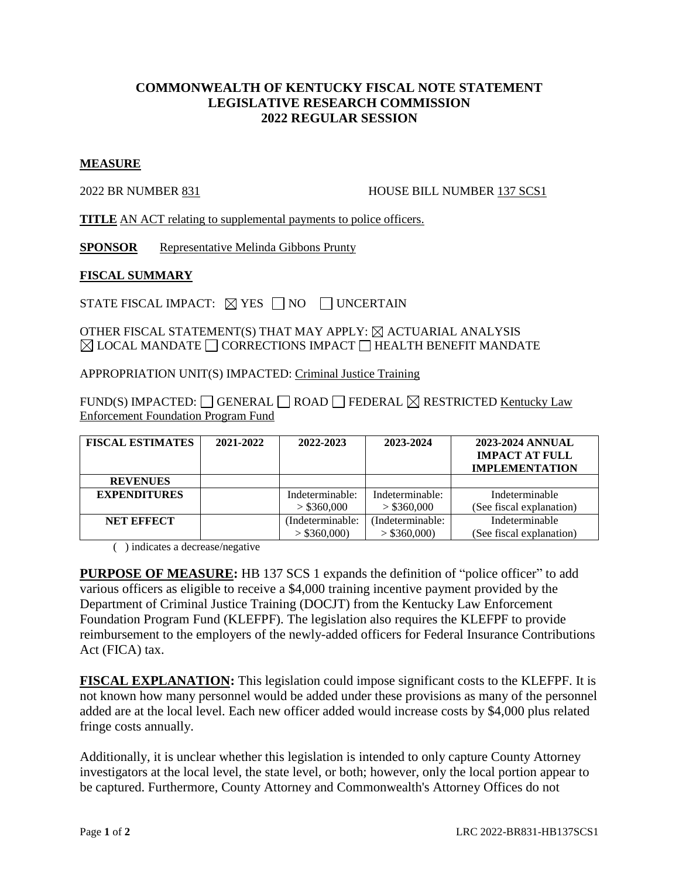## **COMMONWEALTH OF KENTUCKY FISCAL NOTE STATEMENT LEGISLATIVE RESEARCH COMMISSION 2022 REGULAR SESSION**

## **MEASURE**

2022 BR NUMBER 831 HOUSE BILL NUMBER 137 SCS1

**TITLE** AN ACT relating to supplemental payments to police officers.

**SPONSOR** Representative Melinda Gibbons Prunty

## **FISCAL SUMMARY**

STATE FISCAL IMPACT:  $\boxtimes$  YES  $\Box$  NO  $\Box$  UNCERTAIN

OTHER FISCAL STATEMENT(S) THAT MAY APPLY:  $\boxtimes$  ACTUARIAL ANALYSIS  $\boxtimes$  LOCAL MANDATE  $\Box$  CORRECTIONS IMPACT  $\Box$  HEALTH BENEFIT MANDATE

APPROPRIATION UNIT(S) IMPACTED: Criminal Justice Training

FUND(S) IMPACTED: GENERAL ROAD FEDERAL  $\boxtimes$  RESTRICTED Kentucky Law Enforcement Foundation Program Fund

| <b>FISCAL ESTIMATES</b> | 2021-2022 | 2022-2023        | 2023-2024       | 2023-2024 ANNUAL<br><b>IMPACT AT FULL</b><br><b>IMPLEMENTATION</b> |
|-------------------------|-----------|------------------|-----------------|--------------------------------------------------------------------|
| <b>REVENUES</b>         |           |                  |                 |                                                                    |
| <b>EXPENDITURES</b>     |           | Indeterminable:  | Indeterminable: | Indeterminable                                                     |
|                         |           | $>$ \$360,000    | $>$ \$360,000   | (See fiscal explanation)                                           |
| <b>NET EFFECT</b>       |           | (Indeterminable: | Indeterminable: | Indeterminable                                                     |
|                         |           | $>$ \$360,000)   | $>$ \$360,000)  | (See fiscal explanation)                                           |

( ) indicates a decrease/negative

**PURPOSE OF MEASURE:** HB 137 SCS 1 expands the definition of "police officer" to add various officers as eligible to receive a \$4,000 training incentive payment provided by the Department of Criminal Justice Training (DOCJT) from the Kentucky Law Enforcement Foundation Program Fund (KLEFPF). The legislation also requires the KLEFPF to provide reimbursement to the employers of the newly-added officers for Federal Insurance Contributions Act (FICA) tax.

**FISCAL EXPLANATION:** This legislation could impose significant costs to the KLEFPF. It is not known how many personnel would be added under these provisions as many of the personnel added are at the local level. Each new officer added would increase costs by \$4,000 plus related fringe costs annually.

Additionally, it is unclear whether this legislation is intended to only capture County Attorney investigators at the local level, the state level, or both; however, only the local portion appear to be captured. Furthermore, County Attorney and Commonwealth's Attorney Offices do not